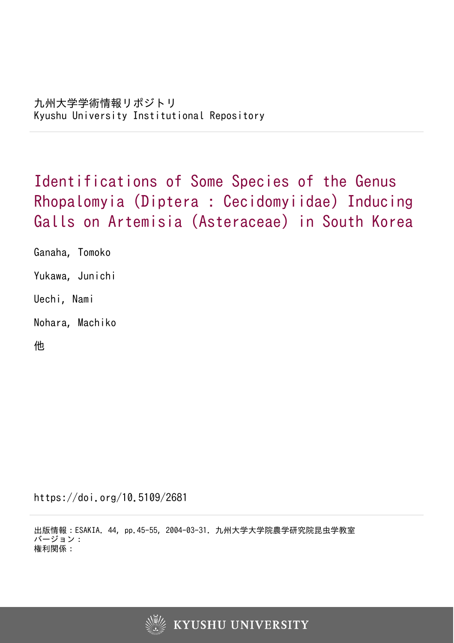Identifications of Some Species of the Genus Rhopalomyia (Diptera : Cecidomyiidae) Inducing Galls on Artemisia (Asteraceae) in South Korea

Ganaha, Tomoko Yukawa, Junichi Uechi, Nami Nohara, Machiko

他

https://doi.org/10.5109/2681

出版情報:ESAKIA. 44, pp.45-55, 2004-03-31. 九州大学大学院農学研究院昆虫学教室 バージョン: 権利関係:

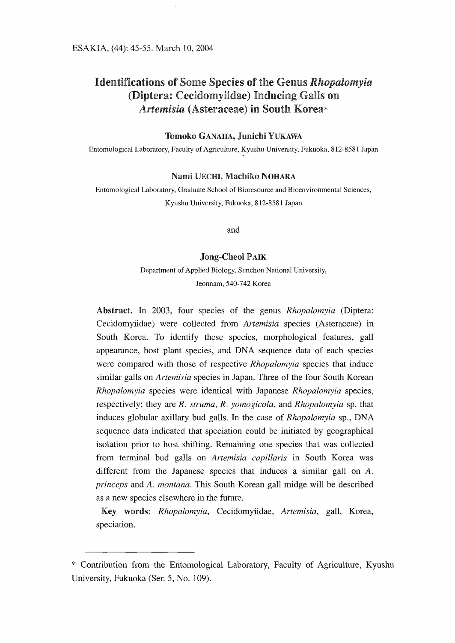# Identifications of Some Species of the Genus Rhopalomyia (Diptera: Cecidomyiidae) Inducing Galls on Artemisia (Asteraceae) in South Korea\*

## Tomoko GANAHA, Junichi YUKAWA

Entomological Laboratory, Faculty of Agriculture, Kyushu University, Fukuoka, <sup>8</sup> 12-858 1 Japan

### Nami UECHI, Machiko NOHARA

Entomological Laboratory, Graduate School of Bioresource and Bioenvironmental Sciences, Kyushu University, Fukuoka, <sup>8</sup> 12-858 1 Japan

and

### Jong-Cheol PAIK

Department of Applied Biology, Sunchon National University, Jeonnam, 540-742 Korea

Abstract. In 2003, four species of the genus *Rhopalomyia* (Diptera: Cecidomyiidae) were collected from *Artemisia* species (Asteraceae) in Cecidomyiidae) were collected from Artemisia species (Asteraceae) in South Korea. To identify these species, morphological features, gall appearance, host plant species, and DNA sequence data of each species were compared with those of respective *Rhopalomyia* species that induce similar galls on Artemisia species in Japan. Three of the four South Korean Rhopalomyia species were identical with Japanese Rhopalomyia species. respectively; they are  $R$ . struma,  $R$ . yomogicola, and  $Rhopalomyia$  sp. that respectively; they are R. struma, R. yomogicola, and Rhopalomyia sp. that induces globular axillary bud galls. In the case of Rhopalomyia sp., DNA sequence data indicated that speciation could be initiated by geographical isolation prior to host shifting. Remaining one species that was collected from terminal bud galls on Artemisia capillaris in South Korea was different from the Japanese species that induces a similar gall on A. princeps and A. montana. This South Korean gall midge will be described as a new species elsewhere in the future.  $\overline{a}$ 

Key words: Rhopalomyia, Cecidomyndae, Artemisia, gall, Korea,

<sup>\*</sup> Contribution from the Entomological Laboratory, Faculty of Agriculture, Kyushu University, Fukuoka (Ser. 5, No. 109).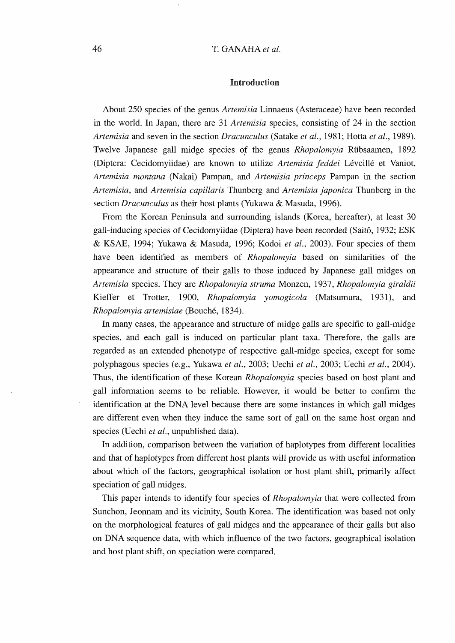# 46 T. GANAHA et al.

### Introduction

About 250 species of the genus Artemisia Linnaeus (Asteraceae) have been recorded in the world. In Japan, there are 31 Artemisia species, consisting of 24 in the section Artemisia and seven in the section Dracunculus (Satake et al., 1981; Hotta et al., 1989). Twelve Japanese gall midge species of the genus Rhopalomyia Riibsaamen, 1892 (Diptera: Cecidomyiidae) are known to utilize Artemisia feddei Leveille et Vaniot, Artemisia montana (Nakai) Pampan, and Artemisia princeps Pampan in the section Artemisia, and Artemisia capillaris Thunberg and Artemisia japonica Thunberg in the section *Dracunculus* as their host plants (Yukawa & Masuda, 1996).

From the Korean Peninsula and surrounding islands (Korea, hereafter), at least <sup>30</sup> gall-inducing species of Cecidomyiidae (Diptera) have been recorded (Saito, <sup>1</sup> 932; ESK & KSAE, 1994; Yukawa & Masuda, 1996; Kodoi et al, 2003). Four species of them have been identified as members of *Rhopalomyia* based on similarities of the appearance and structure of their galls to those induced by Japanese gall midges on Artemisia species. They are Rhopalomyia struma Monzen, 1937, Rhopalomyia giraldii Kieffer et Trotter, 1900, Rhopalomyia yomogicola (Matsumura, 1931), and Rhopalomyia artemisiae (Bouché, 1834).

In many cases, the appearance and structure of midge galls are specific to gall-midge species, and each gall is induced on particular plant taxa. Therefore, the galls are regarded as an extended phenotype of respective gall-midge species, except for some polyphagous species (e.g., Yukawa et al., 2003; Uechi et al., 2003; Uechi et al., 2004). Thus, the identification of these Korean Rhopalomyia species based on host plant and gall information seems to be reliable. However, it would be better to confirm the identification at the DNA level because there are some instances in which gall midges are different even when they induce the same sort of gall on the same host organ and species (Uechi et al., unpublished data).

In addition, comparison between the variation of haplotypes from different localities and that of haplotypes from different host plants will provide us with useful information about which of the factors, geographical isolation or host plant shift, primarily affect speciation of gall midges.

This paper intends to identify four species of *Rhopalomyia* that were collected from Sunchon, Jeonnam and its vicinity, South Korea. The identification was based not only on the morphological features of gall midges and the appearance of their galls but also onDNAsequence data, with which influence of the two factors, geographical isolation and host plant shift, on speciation were compared.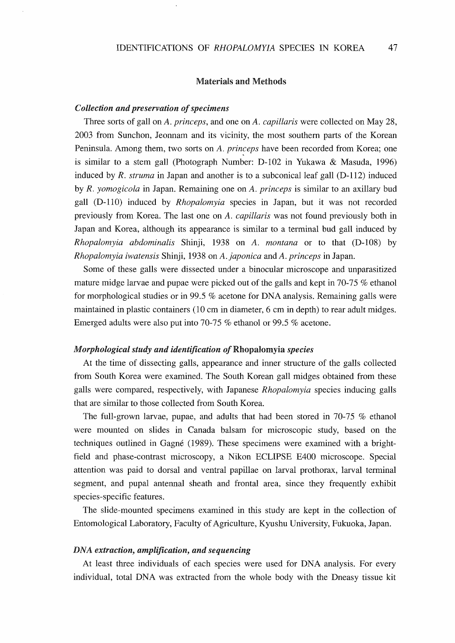### Materials and Methods

### Collection and preservation of specimens

Three sorts of gall on A. *princeps*, and one on A. *capillaris* were collected on May 28, <sup>2003</sup> from Sunchon, Jeonnam and its vicinity, the most southern parts of the Korean Peninsula. Among them, two sorts on A. princeps have been recorded from Korea; one is similar to a stem gall (Photograph Number: D-102 in Yukawa & Masuda, 1996) induced by R. struma in Japan and another is to a subconical leaf gall  $(D-112)$  induced by R. yomogicola in Japan. Remaining one on A. princeps is similar to an axillary bud gall (D-110) induced by Rhopalomyia species in Japan, but it was not recorded previously from Korea. The last one on A. capillaris was not found previously both in Japan and Korea, although its appearance is similar to a terminal bud gall induced by Rhopalomyia abdominalis Shinji, <sup>1938</sup> on A. montana or to that (D-108) by Rhopalomyia iwatensis Shinji, <sup>1938</sup> on A. japonica and A. princeps in Japan.

Some of these galls were dissected under a binocular microscope and unparasitized mature midge larvae and pupae were picked out of the galls and kept in 70-75 % ethanol for morphological studies or in 99.5  $%$  acetone for DNA analysis. Remaining galls were maintained in plastic containers (10 cm in diameter, 6 cm in depth) to rear adult midges. Emerged adults were also put into 70-75 % ethanol or 99.5 % acetone.

### Morphological study and identification of Rhopalomyia species

At the time of dissecting galls, appearance and inner structure of the galls collected from South Korea were examined. The South Korean gall midges obtained from these galls were compared, respectively, with Japanese Rhopalomyia species inducing galls that are similar to those collected from South Korea.

The full-grown larvae, pupae, and adults that had been stored in 70-75 % ethanol were mounted on slides in Canada balsam for microscopic study, based on the techniques outlined in Gagne (1989). These specimens were examined with a brightfield and phase-contrast microscopy, a Nikon ECLIPSE E400 microscope. Special attention was paid to dorsal and ventral papillae on larval prothorax, larval terminal segment, and pupal antennal sheath and frontal area, since they frequently exhibit species-specific features.

The slide-mounted specimens examined in this study are kept in the collection of Entomological Laboratory, Faculty of Agriculture, Kyushu University, Fukuoka, Japan.

### DNA extraction, amplification, and sequencing

At least three individuals of each species were used for DNA analysis. For every individual, total DNA was extracted from the whole body with the Dneasy tissue kit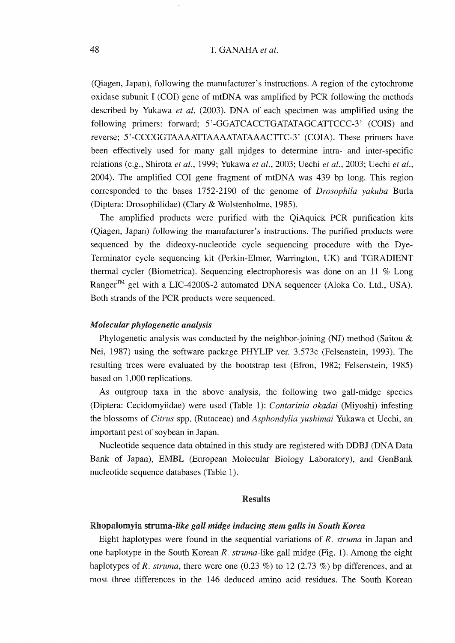# 48 T. GANAHA et al.

(Qiagen, Japan), following the manufacturer's instructions. A region of the cytochrome oxidase subunit <sup>I</sup> (COI) gene of mtDNA was amplified by PCR following the methods described by Yukawa et al. (2003). DNA of each specimen was amplified using the following primers: forward; 5'-GGATCACCTGATATAGCATTCCC-3' (COIS) and reverse; <sup>5</sup> '-CCCGGTAAAATTAAAATATAAACTTC-3' (COIA). These primers have been effectively used for many gall midges to determine intra- and inter-specific relations (e.g., Shirota et al., 1999; Yukawa et al., 2003; Uechi et al., 2003; Uechi et al., 2004). The amplified COI gene fragment of mtDNA was 439 bp long. This region corresponded to the bases 1752-2190 of the genome of Drosophila yakuba Burla (Diptera: Drosophilidae) (Clary & Wolstenholme, 1985).

The amplified products were purified with the QiAquick PCR purification kits (Qiagen, Japan) following the manufacturer's instructions. The purified products were sequenced by the dideoxy-nucleotide cycle sequencing procedure with the Dye-Terminator cycle sequencing kit (Perkin-Elmer, Warrington, UK) and TGRADIENT thermal cycler (Biometrica). Sequencing electrophoresis was done on an ll % Long Ranger<sup>TM</sup> gel with a LIC-4200S-2 automated DNA sequencer (Aloka Co. Ltd., USA). Both strands of the PCR products were sequenced.

### Molecular phylogenetic analysis

Phylogenetic analysis was conducted by the neighbor-joining (NJ) method (Saitou  $\&$ Nei, 1987) using the software package PHYLIP ver. 3.573c (Felsenstein, 1993). The resulting trees were evaluated by the bootstrap test (Efron, 1982; Felsenstein, 1985) based on 1,000 replications.

As outgroup taxa in the above analysis, the following two gall-midge species (Diptera: Cecidomyiidae) were used (Table 1): Contarinia okadai (Miyoshi) infesting the blossoms of Citrus spp. (Rutaceae) and Asphondylia yushimai Yukawa et Uechi, an important pest of soybean in Japan.

Nucleotide sequence data obtained in this study are registered with DDBJ (DNA Data Bank of Japan), EMBL (European Molecular Biology Laboratory), and GenBank nucleotide sequence databases (Table 1).

## Results

## Rhopalomyia struma-like gall midge inducing stem galls in South Korea

Eight haplotypes were found in the sequential variations of R. struma in Japan and one haplotype in the South Korean  $R$ . struma-like gall midge (Fig. 1). Among the eight haplotypes of R. struma, there were one  $(0.23 \%)$  to 12  $(2.73 \%)$  bp differences, and at most three differences in the <sup>146</sup> deduced amino acid residues. The South Korean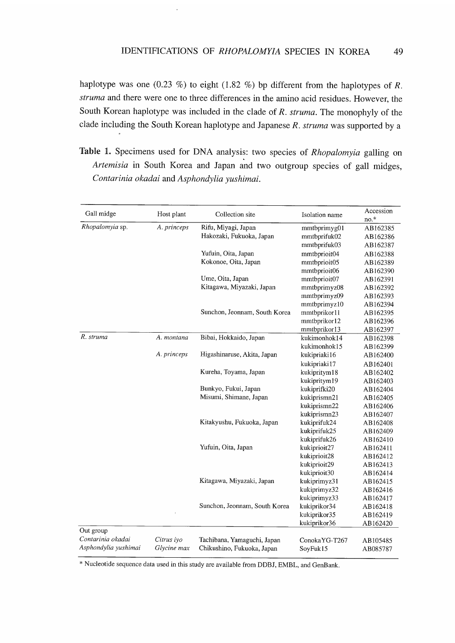haplotype was one (0.23 %) to eight (1.82 %) bp different from the haplotypes of  $R$ . struma and there were one to three differences in the amino acid residues. However, the South Korean haplotype was included in the clade of  $R$ . struma. The monophyly of the clade including the South Korean haplotype and Japanese  $R$ . struma was supported by a

Table 1. Specimens used for DNA analysis: two species of Rhopalomyia galling on Artemisia in South Korea and Japan and two outgroup species of gall midges, Contarinia okadai and Asphondylia yushimai.

| Gall midge           | Host plant  | Collection site               | Isolation name | Accession |
|----------------------|-------------|-------------------------------|----------------|-----------|
|                      |             |                               |                | $no.*$    |
| Rhopalomyia sp.      | A. princeps | Rifu, Miyagi, Japan           | mmtbprimyg01   | AB162385  |
|                      |             | Hakozaki, Fukuoka, Japan      | mmtbprifuk02   | AB162386  |
|                      |             |                               | mmtbprifuk03   | AB162387  |
|                      |             | Yufuin, Oita, Japan           | mmtbprioit04   | AB162388  |
|                      |             | Kokonoe, Oita, Japan          | mmtbprioit05   | AB162389  |
|                      |             |                               | mmtbprioit06   | AB162390  |
|                      |             | Ume, Oita, Japan              | mmtbprioit07   | AB162391  |
|                      |             | Kitagawa, Miyazaki, Japan     | mmtbprimyz08   | AB162392  |
|                      |             |                               | mmtbprimyz09   | AB162393  |
|                      |             |                               | mmtbprimyz10   | AB162394  |
|                      |             | Sunchon, Jeonnam, South Korea | mmtbprikor11   | AB162395  |
|                      |             |                               | mmtbprikor12   | AB162396  |
|                      |             |                               | mmtbprikor13   | AB162397  |
| R. struma            | A. montana  | Bibai, Hokkaido, Japan        | kukimonhok14   | AB162398  |
|                      |             |                               | kukimonhok15   | AB162399  |
|                      | A. princeps | Higashinaruse, Akita, Japan   | kukipriaki16   | AB162400  |
|                      |             |                               | kukipriaki17   | AB162401  |
|                      |             | Kureha, Toyama, Japan         | kukipritym18   | AB162402  |
|                      |             |                               | kukipritym19   | AB162403  |
|                      |             | Bunkyo, Fukui, Japan          | kukiprifki20   | AB162404  |
|                      |             | Misumi, Shimane, Japan        | kukiprismn21   | AB162405  |
|                      |             |                               | kukiprismn22   | AB162406  |
|                      |             |                               | kukiprismn23   | AB162407  |
|                      |             | Kitakyushu, Fukuoka, Japan    | kukiprifuk24   | AB162408  |
|                      |             |                               | kukiprifuk25   | AB162409  |
|                      |             |                               | kukiprifuk26   | AB162410  |
|                      |             | Yufuin, Oita, Japan           | kukiprioit27   | AB162411  |
|                      |             |                               | kukiprioit28   | AB162412  |
|                      |             |                               | kukiprioit29   | AB162413  |
|                      |             |                               | kukiprioit30   | AB162414  |
|                      |             | Kitagawa, Miyazaki, Japan     | kukiprimyz31   | AB162415  |
|                      |             |                               | kukiprimyz32   | AB162416  |
|                      |             |                               | kukiprimyz33   | AB162417  |
|                      |             | Sunchon, Jeonnam, South Korea | kukiprikor34   | AB162418  |
|                      |             |                               | kukiprikor35   | AB162419  |
|                      |             |                               | kukiprikor36   | AB162420  |
| Out group            |             |                               |                |           |
| Contarinia okadai    | Citrus iyo  | Tachibana, Yamaguchi, Japan   | ConokaYG-T267  | AB105485  |
| Asphondylia yushimai | Glycine max | Chikushino, Fukuoka, Japan    | SoyFuk15       | AB085787  |

Nucleotide sequence data used in this study are available from DDBJ, EMBL, and GenBank.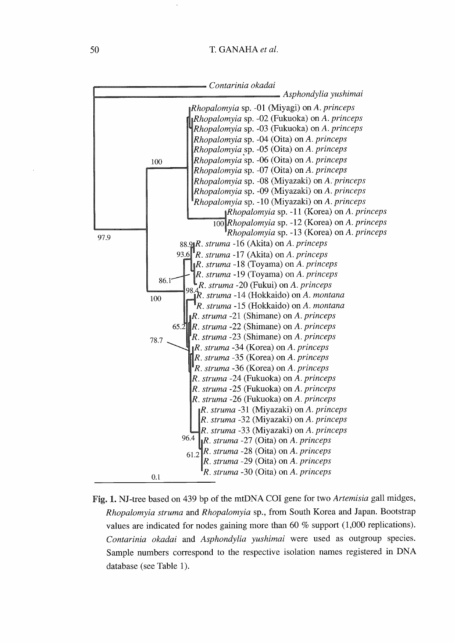

Fig. 1. NJ-tree based on 439 bp of the mtDNA COI gene for two Artemisia gall midges, Rhopalomyia struma and Rhopalomyia sp., from South Korea and Japan. Bootstrap values are indicated for nodes gaining more than <sup>60</sup> % support (1,000 replications). Contarinia okadai and Asphondylia yushimai were used as outgroup species. Sample numbers correspond to the respective isolation names registered in DNA database (see Table 1).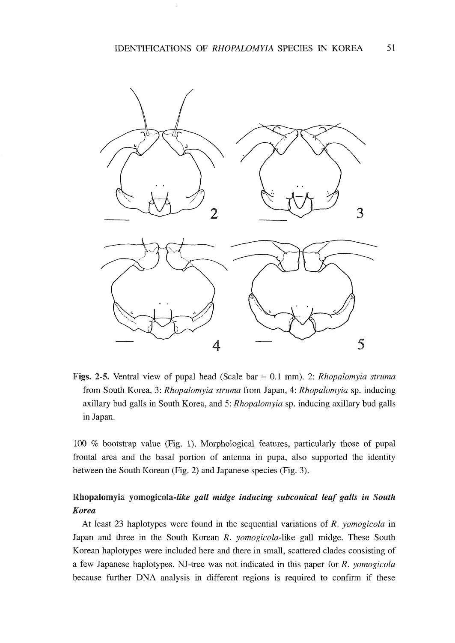

**Figs. 2-5.** Ventral view of pupal head (Scale bar  $= 0.1$  mm). 2: *Rhopalomyia struma* from South Korea, 3: Rhopalomyia struma from Japan, 4: Rhopalomyia sp. inducing axillary bud galls in South Korea, and 5: Rhopalomyia sp. inducing axillary bud galls in Japan.

100 % bootstrap value (Fig. 1). Morphological features, particularly those of pupal frontal area and the basal portion of antenna in pupa, also supported the identity between the South Korean (Fig. 2) and Japanese species (Fig. 3).

# Rhopalomyia yomogicola-like gall midge inducing subconical leaf galls in South Korea

At least 23 haplotypes were found in the sequential variations of R. yomogicola in Japan and three in the South Korean  $R$ . *yomogicola*-like gall midge. These South Korean haplotypes were included here and there in small, scattered clades consisting of a few Japanese haplotypes. NJ-tree was not indicated in this paper for R. yomogicola because further DNA analysis in different regions is required to confirm if these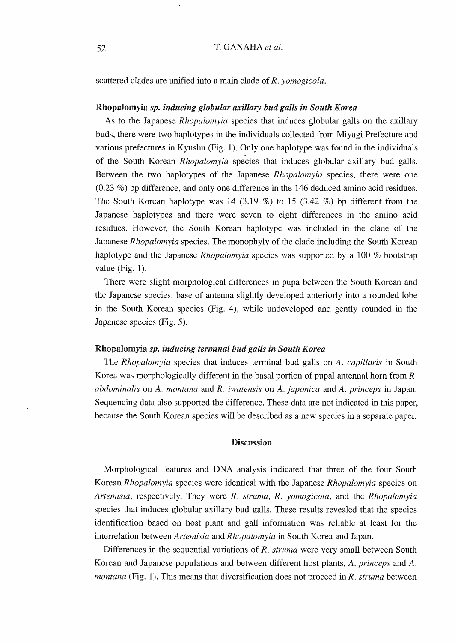scattered clades are unified into a main clade of R. vomogicola.

### Rhopalomyla sp. inducing globular axillary bud galls in South Korea

As to the Japanese Rhopalomyia species that induces globular galls on the axillary buds, there were two haplotypes in the individuals collected from Miyagi Prefecture and various prefectures in Kyushu (Fig. 1). Only one haplotype was found in the individuals of the South Korean Rhopalomyia species that induces globular axillary bud galls. Between the two haplotypes of the Japanese Rhopalomyia species, there were one (0.23 %) bp difference, and only one difference in the <sup>146</sup> deduced amino acid residues. The South Korean haplotype was 14 (3.19 %) to 15 (3.42 %) bp different from the Japanese haplotypes and there were seven to eight differences in the amino acid residues. However, the South Korean haplotype was included in the clade of the Japanese Rhopalomyia species. The monophyly of the clade including the South Korean haplotype and the Japanese *Rhopalomyia* species was supported by a 100 % bootstrap value (Fig. 1).

There were slight morphological differences in pupa between the South Korean and the Japanese species: base of antenna slightly developed anteriorly into a rounded lobe in the South Korean species (Fig. 4), while undeveloped and gently rounded in the Japanese species (Fig. 5).

## Rhopalomyia sp. inducing terminal bud galls in South Korea

The Rhopalomyia species that induces terminal bud galls on A. capillaris in South Korea was morphologically different in the basal portion of pupal antennal horn from R. abdominalis on A. montana and R. iwatensis on A. japonica and A. princeps in Japan. Sequencing data also supported the difference. These data are not indicated in this paper, because the South Korean species will be described as a new species in a separate paper.

### Discussion

Morphological features and DNA analysis indicated that three of the four South Korean Rhopalomyia species were identical with the Japanese Rhopalomyia species on Artemisia, respectively. They were R. struma, R. yomogicola, and the Rhopalomyia species that induces globular axillary bud galls. These results revealed that the species identification based on host plant and gall information was reliable at least for the interrelation between Artemisia and Rhopalomyia in South Korea and Japan.

Differences in the sequential variations of  $R$ . struma were very small between South Korean and Japanese populations and between different host plants, A. princeps and A. *montana* (Fig. 1). This means that diversification does not proceed in  $R$ . *struma* between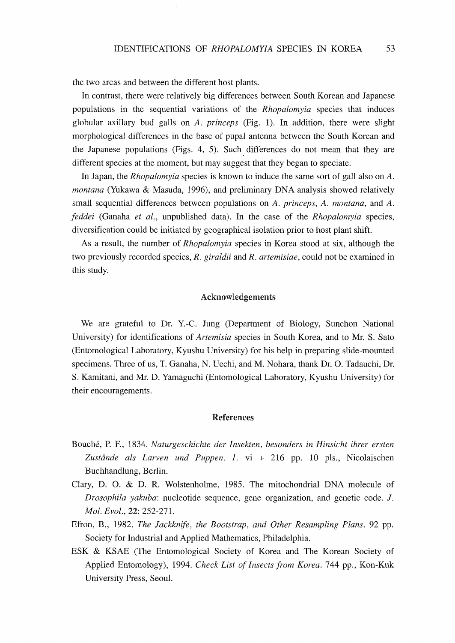the two areas and between the different host plants.

In contrast, there were relatively big differences between South Korean and Japanese populations in the sequential variations of the Rhopalomyia species that induces globular axillary bud galls on A. princeps (Fig. 1). In addition, there were slight morphological differences in the base of pupal antenna between the South Korean and the Japanese populations (Figs. 4, 5). Such differences do not mean that they are different species at the moment, but may suggest that they began to speciate.

In Japan, the *Rhopalomvia* species is known to induce the same sort of gall also on A. montana (Yukawa & Masuda, 1996), and preliminary DNA analysis showed relatively small sequential differences between populations on A. princeps, A. montana, and A.  $f$ eddei (Ganaha et al., unpublished data). In the case of the Rhopalomyia species, diversification could be initiated by geographical isolation prior to host plant shift.

As a result, the number of Rhopalomyia species in Korea stood at six, although the two previously recorded species, R. *giraldii* and R. *artemisiae*, could not be examined in this study.

### Acknowledgements

Weare grateful to Dr. Y.-C. Jung (Department of Biology, Sunchon National University) for identifications of Artemisia species in South Korea, and to Mr. S. Sato (Entomological Laboratory, Kyushu University) for his help in preparing slide-mounted specimens. Three of us, T. Ganaha, N. Uechi, and M. Nohara, thank Dr. O. Tadauchi, Dr. S. Kamitani, and Mr. D. Yamaguchi (Entomological Laboratory, Kyushu University) for their encouragements.

### References

- Bouche, P. F., 1834. Naturgeschichte der Insekten, besonders in Hinsicht ihrer ersten Zustände als Larven und Puppen. 1. vi + 216 pp. 10 pls., Nicolaischen Buchhandlung, Berlin.
- Clary, D. O. & D. R. Wolstenholme, 1985. The mitochondrial DNA molecule of Drosophila yakuba: nucleotide sequence, gene organization, and genetic code. J. Mol. Evol., 22: 252-271.
- Efron, B., 1982. The Jackknife, the Bootstrap, and Other Resampling Plans. 92 pp. Society for Industrial and Applied Mathematics, Philadelphia.
- ESK & KSAE (The Entomological Society of Korea and The Korean Society of Applied Entomology), 1994. Check List of Insects from Korea. 744 pp., Kon-Kuk University Press, Seoul.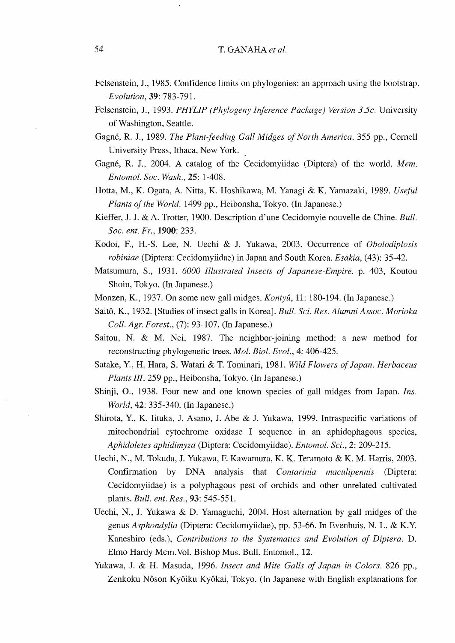- Felsenstein, J., 1985. Confidence limits on phylogenies: an approach using the bootstrap. Evolution, 39: 783-791.
- Felsenstein, J., 1993. PHYLIP (Phylogeny Inference Package) Version 3.5c. University of Washington, Seattle.
- Gagne, R. J., 1989. The Plant-feeding Gall Midges of North America. <sup>355</sup> pp., Cornell University Press, Ithaca, New York.
- Gagne, R. J., 2004. A catalog of the Cecidomyiidae (Diptera) of the world. Mem. Entomol. Soc. Wash., 25: 1-408.
- Hotta, M., K. Ogata, A. Nitta, K. Hoshikawa, M. Yanagi & K. Yamazaki, 1989. Useful Plants of the World. <sup>1499</sup> pp., Heibonsha, Tokyo. (In Japanese.)
- Kieffer, J. J. & A. Trotter, 1900. Description d'une Cecidomyie nouvelle de Chine. Bull. Soc. ent. Fr., 1900: 233.
- Kodoi, F., H.-S. Lee, N. Uechi & J. Yukawa, 2003. Occurrence of Obolodiplosis robiniae (Diptera: Cecidomyiidae) in Japan and South Korea. Esakia, (43): 35-42.
- Matsumura, S., 1931. <sup>6000</sup> Illustrated Insects of Japanese-Empire, p. 403, Koutou Shoin, Tokyo. (In Japanese.)
- Monzen, K., 1937. On some new gall midges. *Kontyû*, 11: 180-194. (In Japanese.)
- Saitô, K., 1932. [Studies of insect galls in Korea]. Bull. Sci. Res. Alumni Assoc. Morioka Coll. Agr. Forest., (7): 93-107. (In Japanese.)
- Saitou, N. & M. Nei, 1987. The neighbor-joining method: a new method for reconstructing phylogenetic trees. Mol. Biol. Evol., 4: 406-425.
- Satake, Y., H. Hara, S. Watari & T. Tominari, 1981. Wild Flowers of Japan. Herbaceus Plants III. 259 pp., Heibonsha, Tokyo. (In Japanese.)
- Shinji, O., 1938. Four new and one known species of gall midges from Japan. Ins. World, 42: 335-340. (In Japanese.)
- Shirota, Y, K. lituka, J. Asano, J. Abe & J. Yukawa, 1999. Intraspecific variations of mitochondrial cytochrome oxidase I sequence in an aphidophagous species, Aphidoletes aphidimyza (Diptera: Cecidomyiidae). Entomol. Sci., 2: 209-215.
- Uechi, N., M. Tokuda, J. Yukawa, F. Kawamura, K. K. Teramoto & K. M. Harris, 2003. Confirmation by DNA analysis that *Contarinia maculipennis* (Diptera: Cecidomyiidae) is a polyphagous pest of orchids and other unrelated cultivated plants. Bull. ent. Res., 93: 545-551.
- Uechi, N., J. Yukawa & D. Yamaguchi, 2004. Host alternation by gall midges of the genus Asphondylia (Diptera: Cecidomyiidae), pp. 53-66. In Evenhuis, N. L. & K.Y Kaneshiro (eds.), Contributions to the Systematics and Evolution of Diptera. D. Elmo Hardy Mem.Vol. Bishop Mus. Bull. Entomol., 12.
- Yukawa, J. & H. Masuda, 1996. Insect and Mite Galls of Japan in Colors. 826 pp., Zenkoku Nôson Kyôiku Kyôkai, Tokyo. (In Japanese with English explanations for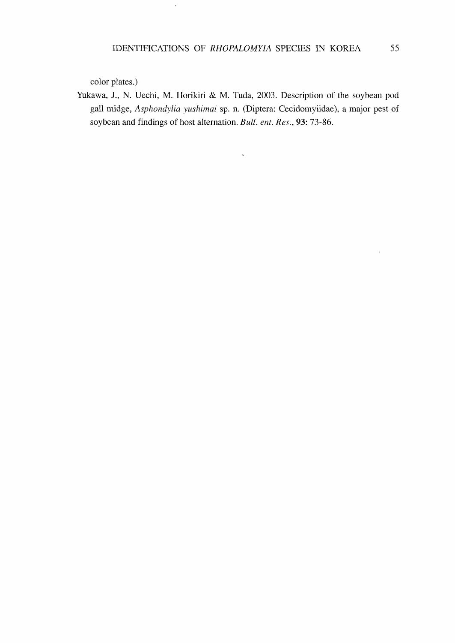$\ddot{\phantom{a}}$ 

color plates.)

Yukawa, J., N. Uechi, M. Horikiri & M. Tuda, 2003. Description of the soybean pod gall midge, Asphondylia yushimai sp. n. (Diptera: Cecidomyiidae), a major pest of soybean and findings of host alternation. Bull. ent. Res., 93: 73-86.

 $\ddot{\phantom{a}}$ 

 $\bar{z}$